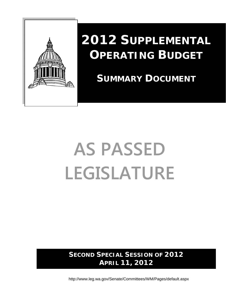

## **2012 SUPPLEMENTAL OPERATING BUDGET**

 **SUMMARY DOCUMENT**

# **AS PASSED LEGISLATURE**

**SECOND SPECIAL SESSION OF 2012 APRIL 11, 2012** 

http://www.leg.wa.gov/Senate/Committees/WM/Pages/default.aspx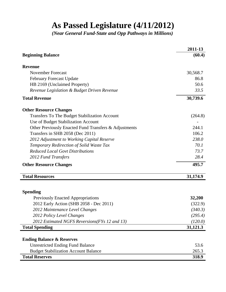### **As Passed Legislature (4/11/2012)**

*(Near General Fund-State and Opp Pathways in Millions)*

| <b>Beginning Balance</b><br><b>Revenue</b><br><b>November Forecast</b><br>30,568.7<br>86.8<br><b>February Forecast Update</b><br>HB 2169 (Unclaimed Property)<br>50.6<br>33.5<br>Revenue Legislation & Budget Driven Revenue<br>30,739.6<br><b>Total Revenue</b><br><b>Other Resource Changes</b><br>Transfers To The Budget Stabilization Account<br>Use of Budget Stabilization Account<br>Other Previously Enacted Fund Transfers & Adjustments<br>244.1<br>Transfers in SHB 2058 (Dec 2011)<br>106.2<br>238.0<br>2012 Adjustment to Working Capital Reserve<br>Temporary Redirection of Solid Waste Tax<br>70.1<br><b>Reduced Local Govt Distributions</b><br>73.7<br>28.4<br>2012 Fund Transfers<br>495.7<br><b>Other Resource Changes</b><br><b>Total Resources</b><br>31,174.9<br><b>Spending</b><br>32,200<br><b>Previously Enacted Appropriations</b><br>2012 Early Action (SHB 2058 - Dec 2011)<br>2012 Maintenance Level Changes<br>(340.3)<br>2012 Policy Level Changes<br>2012 Estimated NGFS Reversions(FYs 12 and 13)<br>(120.0)<br>31,121.3<br><b>Total Spending</b><br><b>Ending Balance &amp; Reserves</b><br><b>Unrestricted Ending Fund Balance</b><br>53.6<br>265.3<br><b>Budget Stabilization Account Balance</b><br><b>Total Reserves</b><br>318.9 | 2011-13 |
|---------------------------------------------------------------------------------------------------------------------------------------------------------------------------------------------------------------------------------------------------------------------------------------------------------------------------------------------------------------------------------------------------------------------------------------------------------------------------------------------------------------------------------------------------------------------------------------------------------------------------------------------------------------------------------------------------------------------------------------------------------------------------------------------------------------------------------------------------------------------------------------------------------------------------------------------------------------------------------------------------------------------------------------------------------------------------------------------------------------------------------------------------------------------------------------------------------------------------------------------------------------------------|---------|
| (264.8)<br>(322.9)<br>(295.4)                                                                                                                                                                                                                                                                                                                                                                                                                                                                                                                                                                                                                                                                                                                                                                                                                                                                                                                                                                                                                                                                                                                                                                                                                                             | (60.4)  |
|                                                                                                                                                                                                                                                                                                                                                                                                                                                                                                                                                                                                                                                                                                                                                                                                                                                                                                                                                                                                                                                                                                                                                                                                                                                                           |         |
|                                                                                                                                                                                                                                                                                                                                                                                                                                                                                                                                                                                                                                                                                                                                                                                                                                                                                                                                                                                                                                                                                                                                                                                                                                                                           |         |
|                                                                                                                                                                                                                                                                                                                                                                                                                                                                                                                                                                                                                                                                                                                                                                                                                                                                                                                                                                                                                                                                                                                                                                                                                                                                           |         |
|                                                                                                                                                                                                                                                                                                                                                                                                                                                                                                                                                                                                                                                                                                                                                                                                                                                                                                                                                                                                                                                                                                                                                                                                                                                                           |         |
|                                                                                                                                                                                                                                                                                                                                                                                                                                                                                                                                                                                                                                                                                                                                                                                                                                                                                                                                                                                                                                                                                                                                                                                                                                                                           |         |
|                                                                                                                                                                                                                                                                                                                                                                                                                                                                                                                                                                                                                                                                                                                                                                                                                                                                                                                                                                                                                                                                                                                                                                                                                                                                           |         |
|                                                                                                                                                                                                                                                                                                                                                                                                                                                                                                                                                                                                                                                                                                                                                                                                                                                                                                                                                                                                                                                                                                                                                                                                                                                                           |         |
|                                                                                                                                                                                                                                                                                                                                                                                                                                                                                                                                                                                                                                                                                                                                                                                                                                                                                                                                                                                                                                                                                                                                                                                                                                                                           |         |
|                                                                                                                                                                                                                                                                                                                                                                                                                                                                                                                                                                                                                                                                                                                                                                                                                                                                                                                                                                                                                                                                                                                                                                                                                                                                           |         |
|                                                                                                                                                                                                                                                                                                                                                                                                                                                                                                                                                                                                                                                                                                                                                                                                                                                                                                                                                                                                                                                                                                                                                                                                                                                                           |         |
|                                                                                                                                                                                                                                                                                                                                                                                                                                                                                                                                                                                                                                                                                                                                                                                                                                                                                                                                                                                                                                                                                                                                                                                                                                                                           |         |
|                                                                                                                                                                                                                                                                                                                                                                                                                                                                                                                                                                                                                                                                                                                                                                                                                                                                                                                                                                                                                                                                                                                                                                                                                                                                           |         |
|                                                                                                                                                                                                                                                                                                                                                                                                                                                                                                                                                                                                                                                                                                                                                                                                                                                                                                                                                                                                                                                                                                                                                                                                                                                                           |         |
|                                                                                                                                                                                                                                                                                                                                                                                                                                                                                                                                                                                                                                                                                                                                                                                                                                                                                                                                                                                                                                                                                                                                                                                                                                                                           |         |
|                                                                                                                                                                                                                                                                                                                                                                                                                                                                                                                                                                                                                                                                                                                                                                                                                                                                                                                                                                                                                                                                                                                                                                                                                                                                           |         |
|                                                                                                                                                                                                                                                                                                                                                                                                                                                                                                                                                                                                                                                                                                                                                                                                                                                                                                                                                                                                                                                                                                                                                                                                                                                                           |         |
|                                                                                                                                                                                                                                                                                                                                                                                                                                                                                                                                                                                                                                                                                                                                                                                                                                                                                                                                                                                                                                                                                                                                                                                                                                                                           |         |
|                                                                                                                                                                                                                                                                                                                                                                                                                                                                                                                                                                                                                                                                                                                                                                                                                                                                                                                                                                                                                                                                                                                                                                                                                                                                           |         |
|                                                                                                                                                                                                                                                                                                                                                                                                                                                                                                                                                                                                                                                                                                                                                                                                                                                                                                                                                                                                                                                                                                                                                                                                                                                                           |         |
|                                                                                                                                                                                                                                                                                                                                                                                                                                                                                                                                                                                                                                                                                                                                                                                                                                                                                                                                                                                                                                                                                                                                                                                                                                                                           |         |
|                                                                                                                                                                                                                                                                                                                                                                                                                                                                                                                                                                                                                                                                                                                                                                                                                                                                                                                                                                                                                                                                                                                                                                                                                                                                           |         |
|                                                                                                                                                                                                                                                                                                                                                                                                                                                                                                                                                                                                                                                                                                                                                                                                                                                                                                                                                                                                                                                                                                                                                                                                                                                                           |         |
|                                                                                                                                                                                                                                                                                                                                                                                                                                                                                                                                                                                                                                                                                                                                                                                                                                                                                                                                                                                                                                                                                                                                                                                                                                                                           |         |
|                                                                                                                                                                                                                                                                                                                                                                                                                                                                                                                                                                                                                                                                                                                                                                                                                                                                                                                                                                                                                                                                                                                                                                                                                                                                           |         |
|                                                                                                                                                                                                                                                                                                                                                                                                                                                                                                                                                                                                                                                                                                                                                                                                                                                                                                                                                                                                                                                                                                                                                                                                                                                                           |         |
|                                                                                                                                                                                                                                                                                                                                                                                                                                                                                                                                                                                                                                                                                                                                                                                                                                                                                                                                                                                                                                                                                                                                                                                                                                                                           |         |
|                                                                                                                                                                                                                                                                                                                                                                                                                                                                                                                                                                                                                                                                                                                                                                                                                                                                                                                                                                                                                                                                                                                                                                                                                                                                           |         |
|                                                                                                                                                                                                                                                                                                                                                                                                                                                                                                                                                                                                                                                                                                                                                                                                                                                                                                                                                                                                                                                                                                                                                                                                                                                                           |         |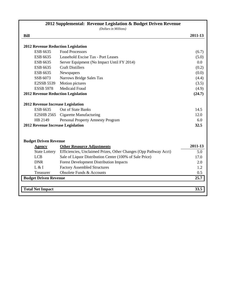|                                           | 2012 Supplemental: Revenue Legislation & Budget Driven Revenue<br>(Dollars in Millions)               |         |
|-------------------------------------------|-------------------------------------------------------------------------------------------------------|---------|
| <b>Bill</b>                               |                                                                                                       | 2011-13 |
|                                           |                                                                                                       |         |
| <b>2012 Revenue Reduction Legislation</b> |                                                                                                       |         |
| ESB 6635                                  | <b>Food Processors</b>                                                                                | (6.7)   |
| ESB 6635                                  | Leasehold Excise Tax - Port Leases                                                                    | (5.0)   |
| ESB 6635                                  | Server Equipment (No Impact Until FY 2014)                                                            | 0.0     |
| ESB 6635                                  | <b>Craft Distillers</b>                                                                               | (0.2)   |
| ESB 6635                                  | Newspapers                                                                                            | (0.0)   |
| SSB 6073                                  | Narrows Bridge Sales Tax                                                                              | (4.4)   |
| E2SSB 5539                                | Motion pictures                                                                                       | (3.5)   |
| <b>ESSB 5978</b>                          | <b>Medicaid Fraud</b>                                                                                 | (4.9)   |
| <b>2012 Revenue Reduction Legislation</b> |                                                                                                       | (24.7)  |
| <b>2012 Revenue Increase Legislation</b>  |                                                                                                       |         |
| ESB 6635                                  | <b>Out of State Banks</b>                                                                             | 14.5    |
| <b>E2SHB 2565</b>                         | <b>Cigarette Manufacturing</b>                                                                        | 12.0    |
| HB 2149                                   | <b>Personal Property Amnesty Program</b>                                                              | 6.0     |
| 2012 Revenue Increase Legislation         |                                                                                                       | 32.5    |
|                                           |                                                                                                       |         |
| <b>Budget Driven Revenue</b>              |                                                                                                       | 2011-13 |
| <b>Agency</b><br><b>State Lottery</b>     | <b>Other Resource Adjustments</b><br>Efficiencies, Unclaimed Prizes, Other Changes (Opp Pathway Acct) | 5.0     |
| <b>LCB</b>                                |                                                                                                       | 17.0    |
|                                           | Sale of Liquor Distribution Center (100% of Sale Price)                                               |         |
| <b>DNR</b>                                | <b>Forest Development Distribution Impacts</b>                                                        | 2.0     |
| L & I                                     | <b>Factory Assembled Structures</b>                                                                   | 1.2     |
| Treasurer                                 | Obsolete Funds & Accounts                                                                             | 0.5     |
| <b>Budget Driven Revenue</b>              |                                                                                                       | 25.7    |
| <b>Total Net Impact</b>                   |                                                                                                       | 33.5    |
|                                           |                                                                                                       |         |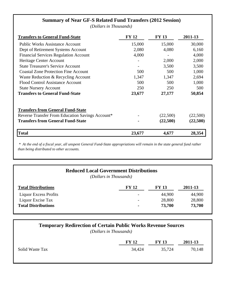| <b>Summary of Near GF-S Related Fund Transfers (2012 Session)</b><br>(Dollars in Thousands) |              |              |          |  |  |
|---------------------------------------------------------------------------------------------|--------------|--------------|----------|--|--|
| <b>Transfers to General Fund-State</b>                                                      | <b>FY 12</b> | <b>FY 13</b> | 2011-13  |  |  |
| <b>Public Works Assistance Account</b>                                                      | 15,000       | 15,000       | 30,000   |  |  |
| Dept of Retirement Systems Account                                                          | 2,080        | 4,080        | 6,160    |  |  |
| <b>Financial Services Regulation Account</b>                                                | 4,000        |              | 4,000    |  |  |
| Heritage Center Account                                                                     |              | 2,000        | 2,000    |  |  |
| <b>State Treasurer's Service Account</b>                                                    |              | 3,500        | 3,500    |  |  |
| <b>Coastal Zone Protection Fine Account</b>                                                 | 500          | 500          | 1,000    |  |  |
| Waste Reduction & Recycling Account                                                         | 1,347        | 1,347        | 2,694    |  |  |
| <b>Flood Control Assistance Account</b>                                                     | 500          | 500          | 1,000    |  |  |
| <b>State Nursery Account</b>                                                                | 250          | 250          | 500      |  |  |
| <b>Transfers to General Fund-State</b>                                                      | 23,677       | 27,177       | 50,854   |  |  |
| <b>Transfers from General Fund-State</b>                                                    |              |              |          |  |  |
| Reverse Transfer From Education Savings Account*                                            |              | (22,500)     | (22,500) |  |  |
| <b>Transfers from General Fund-State</b>                                                    |              | (22,500)     | (22,500) |  |  |
| <b>Total</b>                                                                                | 23,677       | 4,677        | 28,354   |  |  |

 *\* At the end of a fiscal year, all unspent General Fund-State appropriations will remain in the state general fund rather than being distributed to other accounts.* 

| <b>Total Distributions</b> | <b>FY 12</b>             | <b>FY 13</b> | 2011-13 |
|----------------------------|--------------------------|--------------|---------|
| Liquor Excess Profits      |                          | 44,900       | 44,900  |
| Liquor Excise Tax          | $\overline{\phantom{0}}$ | 28,800       | 28,800  |
| <b>Total Distributions</b> | $\blacksquare$           | 73,700       | 73,700  |

| <b>Temporary Redirection of Certain Public Works Revenue Sources</b><br>(Dollars in Thousands) |              |              |         |
|------------------------------------------------------------------------------------------------|--------------|--------------|---------|
|                                                                                                | <b>FY 12</b> | <b>FY 13</b> | 2011-13 |
| Solid Waste Tax                                                                                | 34,424       | 35,724       | 70,148  |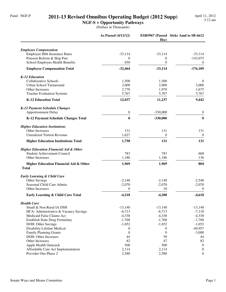#### Fund: NGF-P **2011-13 Revised Omnibus Operating Budget (2012 Supp)**

**NGF-S + Opportunity Pathways**

|                                                        | As Passed (4/11/12) | Hse)             | ESB5967 (Passed Strkr Amd to SB 6612 |
|--------------------------------------------------------|---------------------|------------------|--------------------------------------|
| <b>Employee Compensation</b>                           |                     |                  |                                      |
| <b>Employee Hlth Insurance Rates</b>                   | $-33,114$           | $-33,114$        | $-33,114$                            |
| Pension Reform & Skip Pmt                              | 0                   | $\bf{0}$         | $-143,075$                           |
| School Employee Health Benefits                        | 650                 | $\boldsymbol{0}$ | $\mathbf{0}$                         |
| <b>Employee Compensation Total</b>                     | $-32,464$           | $-33,114$        | $-176,189$                           |
| K-12 Education                                         |                     |                  |                                      |
| Collaborative Schools                                  | 1,500               | 1,500            | $\theta$                             |
| Urban School Turnaround                                | 2,000               | 2,000            | 2,000                                |
| Other Increases                                        | 2,770               | 1,970            | 1,675                                |
| <b>Teacher Evaluation Systems</b>                      | 5,767               | 5,767            | 5,767                                |
| <b>K-12 Education Total</b>                            | 12,037              | 11,237           | 9,442                                |
| <b>K-12 Payment Schedule Changes</b>                   |                     |                  |                                      |
| <b>Apportionment Delay</b>                             | $\boldsymbol{0}$    | $-330,000$       | $\boldsymbol{0}$                     |
| <b>K-12 Payment Schedule Changes Total</b>             | $\bf{0}$            | $-330,000$       | $\bf{0}$                             |
| <b>Higher Education Institutions</b>                   |                     |                  |                                      |
| Other Increases                                        | 131                 | 131              | 131                                  |
| <b>Unrealized Tuition Revenue</b>                      | 1,627               | $\theta$         | $\mathbf{0}$                         |
| <b>Higher Education Institutions Total</b>             | 1,758               | 131              | 131                                  |
| <b>Higher Education Financial Aid &amp; Other</b>      |                     |                  |                                      |
| <b>Student Achievement Council</b>                     | 783                 | 783              | 668                                  |
| Other Increases                                        | 1,186               | 1,186            | 136                                  |
| Higher Education Financial Aid & Other<br><b>Total</b> | 1,969               | 1,969            | 804                                  |
| <b>Early Learning &amp; Child Care</b>                 |                     |                  |                                      |
| Other Savings                                          | $-2,148$            | $-2,148$         | $-2,548$                             |
| Seasonal Child Care Admin                              | $-2,070$            | $-2,070$         | $-2,070$                             |
| Other Increases                                        | $\Omega$            | 10               | $\theta$                             |
| Early Learning & Child Care Total                      | $-4,218$            | $-4,208$         | $-4,618$                             |
| <b>Health Care</b>                                     |                     |                  |                                      |
| Small & Non Rural IA DSH                               | $-13,140$           | $-13,140$        | $-13,140$                            |
| HCA: Administrative & Vacancy Savings                  | $-6,713$            | $-6,713$         | $-7,110$                             |
| Medicaid False Claims Act                              | $-4,338$            | $-4,338$         | $-4,338$                             |
| <b>Establish State Drug Formulary</b>                  | $-1,768$            | $-1,768$         | $-1,768$                             |
| DOH: Other Savings                                     | $-1,652$            | $-1,652$         | $-1,652$                             |
| Disability Lifeline Medical                            | $\boldsymbol{0}$    | $\mathbf{0}$     | $-40,957$                            |
| <b>Family Planning Grants</b>                          | $\mathbf{0}$        | $\theta$         | $-3,000$                             |
| DOH: Other Increases                                   | 44                  | 59               | 44                                   |
| Other Increases                                        | 82                  | 47               | 82                                   |
| Apple Health Outreach                                  | 500                 | 500              | $\theta$                             |
| Affordable Care Act Implementation                     | 2,114               | 2,114            | $\boldsymbol{0}$                     |
| Provider One Phase 2                                   | 2,580               | 2,580            | $\overline{0}$                       |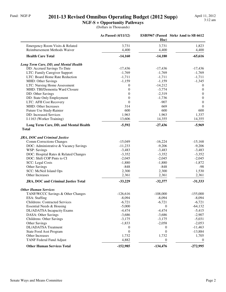#### Fund: NGF-P **2011-13 Revised Omnibus Operating Budget (2012 Supp)** April 11, 2012

**NGF-S + Opportunity Pathways**

|                                            | As Passed (4/11/12)   | Hse)          | ESB5967 (Passed Strkr Amd to SB 6612 |
|--------------------------------------------|-----------------------|---------------|--------------------------------------|
| Emergency Room Visits & Related            | 3,731                 | 3,731         | 1,823                                |
| Reimbursement Methods Waiver               | 4,400                 | 4,400         | 4,400                                |
| <b>Health Care Total</b>                   | $-14,160$             | $-14,180$     | $-65,616$                            |
| Long Term Care, DD, and Mental Health      |                       |               |                                      |
| DD: Accrued Savings To Date                | $-17,436$             | $-17,436$     | $-17,436$                            |
| LTC: Family Caregiver Support              | $-1,769$              | $-1,769$      | $-1,769$                             |
| LTC: Board Home Rate Reduction             | $-1,711$              | $-1,711$      | $-1,711$                             |
| MHD: Other Savings                         | $-1,159$              | $-1,159$      | $-1,345$                             |
| LTC: Nursing Home Assessment               | 0                     | $-14,212$     | $\boldsymbol{0}$                     |
| MHD: TBI/Dementia Ward Closure             | $\boldsymbol{0}$      | $-3,774$      | $\boldsymbol{0}$                     |
| DD: Other Savings                          | $\boldsymbol{0}$      | $-2,319$      | $\boldsymbol{0}$                     |
| DD: State Only Employment                  | $\boldsymbol{0}$      | $-1,736$      | $\boldsymbol{0}$                     |
| LTC: AFH Cost Recovery                     | $\theta$              | $-907$        | $\boldsymbol{0}$                     |
| MHD: Other Increases                       | 314                   | 669           | $\Omega$                             |
| Future Use Study-Rainier                   | 600                   | 600           | 600                                  |
| DD: Increased Services                     | 1,963                 | 1,963         | 1,337                                |
| I-1163 (Worker Training)                   | 13,606                | 14,355        | 14,355                               |
| Long Term Care, DD, and Mental Health      | $-5,592$              | $-27,436$     | $-5,969$                             |
| <b>Total</b>                               |                       |               |                                      |
| <b>JRA, DOC and Criminal Justice</b>       |                       |               |                                      |
| <b>Comm Corrections Changes</b>            | $-15,049$             | $-16,224$     | $-15,168$                            |
| DOC: Administrative & Vacancy Savings      | $-11,233$             | $-9,206$      | $-9,206$                             |
| WSP: Savings                               | $-3,483$              | $-3,483$      | $-3,483$                             |
| DOC: Hospital Rates & Related Changes      | $-3,352$              | $-3,352$      | $-3,352$                             |
| DOC: Shift COP Pmts to CI                  | $-2,045$              | $-2,045$      | $-2,045$                             |
| <b>SCC:</b> Legal Costs                    | $-1,880$              | $-1,880$      | $-1,872$                             |
| Other Savings                              | $-848$                | $-848$        | $-98$                                |
| SCC: McNeil Island Ops                     | 2,300                 | 2,300         | 1,530                                |
| Other Increases                            | 2,361                 | 2,361         | 2,361                                |
| <b>JRA, DOC and Criminal Justice Total</b> | $-33,229$             | $-32,377$     | $-31,333$                            |
| <b>Other Human Services</b>                |                       |               |                                      |
| TANF/WCCC Savings & Other Changes          | $-126,616$            | $-108,000$    | $-155,000$                           |
| ESA: Staffing                              | $-8,094$              | $-8,094$      | $-8,094$                             |
| <b>Childrens: Contracted Services</b>      | $-6,721$              | $-6,721$      | $-6,721$                             |
| Essential Needs & Housing                  | $-5,000$              | 0             | $-64,132$                            |
| DL/ADATSA Incapacity Exams                 | $-4,474$              | $-4,474$      | $-5,415$                             |
| DASA: Other Savings                        | $-3,686$              | $-3,686$      | $-2,907$                             |
| Childrens: Other Savings                   | $-3,175$              | $-3,175$      | $-5,031$                             |
| <b>Other Savings</b>                       | $-1,833$              | $-2,058$      | $-2,053$                             |
| DL/ADATSA Treatment                        |                       |               |                                      |
| <b>State Food Asst Program</b>             | 0<br>$\boldsymbol{0}$ | 0<br>$\theta$ | $-11,463$                            |
| Other Increases                            | 1,732                 | 1,732         | $-13,884$<br>1,705                   |
| <b>TANF Federal Fund Adjust</b>            | 4,882                 | 0             | $\Omega$                             |
| <b>Other Human Services Total</b>          | $-152,985$            | $-134,476$    | $-272,995$                           |
|                                            |                       |               |                                      |